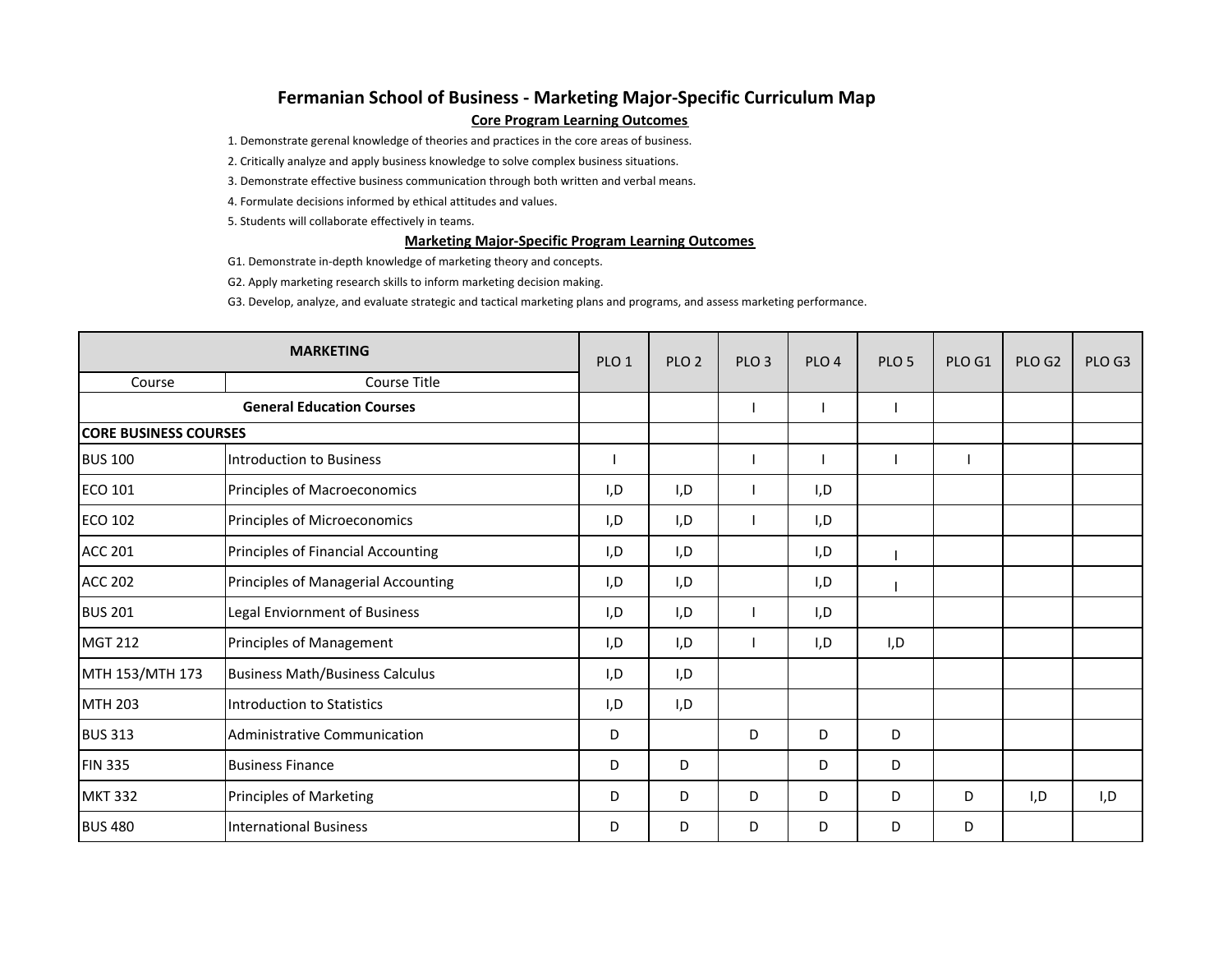## **Fermanian School of Business ‐ Marketing Major‐Specific Curriculum Map Core Program Learning Outcomes**

1. Demonstrate gerenal knowledge of theories and practices in the core areas of business.

2. Critically analyze and apply business knowledge to solve complex business situations.

3. Demonstrate effective business communication through both written and verbal means.

4. Formulate decisions informed by ethical attitudes and values.

5. Students will collaborate effectively in teams.

## **Marketing Major‐Specific Program Learning Outcomes**

G1. Demonstrate in‐depth knowledge of marketing theory and concepts.

G2. Apply marketing research skills to inform marketing decision making.

G3. Develop, analyze, and evaluate strategic and tactical marketing plans and programs, and assess marketing performance.

| <b>MARKETING</b>                 |                                        | PLO <sub>1</sub> | PLO <sub>2</sub> | PLO <sub>3</sub> | PLO <sub>4</sub> | PLO <sub>5</sub> | PLO G1 | PLO G <sub>2</sub> | PLO G3 |
|----------------------------------|----------------------------------------|------------------|------------------|------------------|------------------|------------------|--------|--------------------|--------|
| Course                           | Course Title                           |                  |                  |                  |                  |                  |        |                    |        |
| <b>General Education Courses</b> |                                        |                  |                  |                  |                  |                  |        |                    |        |
| <b>CORE BUSINESS COURSES</b>     |                                        |                  |                  |                  |                  |                  |        |                    |        |
| <b>BUS 100</b>                   | <b>Introduction to Business</b>        |                  |                  |                  |                  |                  |        |                    |        |
| <b>ECO 101</b>                   | Principles of Macroeconomics           | I,D              | I,D              |                  | I,D              |                  |        |                    |        |
| <b>ECO 102</b>                   | Principles of Microeconomics           | I,D              | I,D              |                  | I, D             |                  |        |                    |        |
| <b>ACC 201</b>                   | Principles of Financial Accounting     | I,D              | I,D              |                  | I,D              |                  |        |                    |        |
| <b>ACC 202</b>                   | Principles of Managerial Accounting    | I,D              | I,D              |                  | I,D              |                  |        |                    |        |
| <b>BUS 201</b>                   | Legal Enviornment of Business          | I,D              | I,D              |                  | I,D              |                  |        |                    |        |
| <b>MGT 212</b>                   | Principles of Management               | I,D              | I, D             |                  | I, D             | I, D             |        |                    |        |
| MTH 153/MTH 173                  | <b>Business Math/Business Calculus</b> | I,D              | I,D              |                  |                  |                  |        |                    |        |
| <b>MTH 203</b>                   | <b>Introduction to Statistics</b>      | I,D              | I,D              |                  |                  |                  |        |                    |        |
| <b>BUS 313</b>                   | Administrative Communication           | D                |                  | D                | D                | D                |        |                    |        |
| <b>FIN 335</b>                   | <b>Business Finance</b>                | D                | D                |                  | D                | D                |        |                    |        |
| <b>MKT 332</b>                   | <b>Principles of Marketing</b>         | D                | D                | D                | D                | D                | D      | I,D                | I,D    |
| <b>BUS 480</b>                   | <b>International Business</b>          | D                | D                | D                | D                | D                | D      |                    |        |